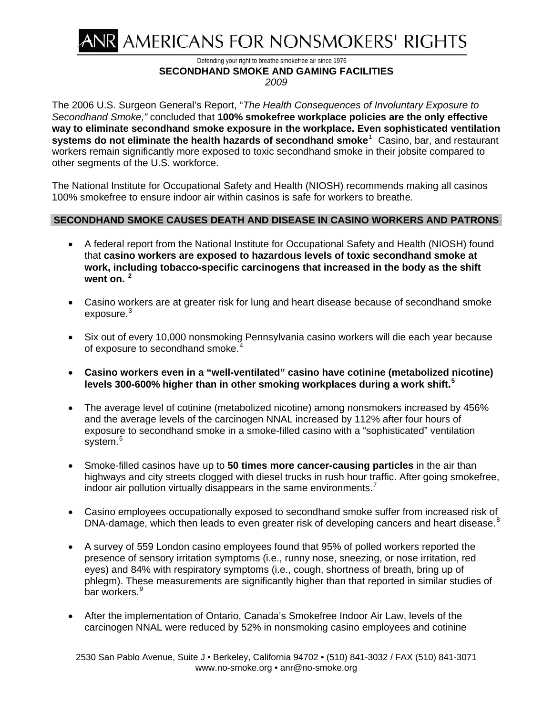

Defending your right to breathe smokefree air since 1976 **SECONDHAND SMOKE AND GAMING FACILITIES** 

*2009* 

The 2006 U.S. Surgeon General's Report, "*The Health Consequences of Involuntary Exposure to Secondhand Smoke,"* concluded that **100% smokefree workplace policies are the only effective way to eliminate secondhand smoke exposure in the workplace. Even sophisticated ventilation systems do not eliminate the health hazards of secondhand smoke**[1](#page-4-0) Casino, bar, and restaurant workers remain significantly more exposed to toxic secondhand smoke in their jobsite compared to other segments of the U.S. workforce.

The National Institute for Occupational Safety and Health (NIOSH) recommends making all casinos 100% smokefree to ensure indoor air within casinos is safe for workers to breathe*.*

## **SECONDHAND SMOKE CAUSES DEATH AND DISEASE IN CASINO WORKERS AND PATRONS**

- [A federal report](http://www.cdc.gov/niosh/hhe/) from the National Institute for Occupational Safety and Health (NIOSH) found that **casino workers are exposed to hazardous levels of toxic secondhand smoke at work, including tobacco-specific carcinogens that increased in the body as the shift went on. [2](#page-4-1)**
- Casino workers are at greater risk for lung and heart disease because of secondhand smoke exposure.<sup>[3](#page-4-2)</sup>
- Six out of every 10,000 nonsmoking Pennsylvania casino workers will die each year because of exposure to secondhand smoke.<sup>[4](#page-4-3)</sup>
- **Casino workers even in a "well-ventilated" casino have cotinine (metabolized nicotine) levels 300-600% higher than in other smoking workplaces during a work shift.[5](#page-4-4)**
- The average level of cotinine (metabolized nicotine) among nonsmokers increased by 456% and the average levels of the carcinogen NNAL increased by 112% after four hours of exposure to secondhand smoke in a smoke-filled casino with a "sophisticated" ventilation system.<sup>[6](#page-5-0)</sup>
- Smoke-filled casinos have up to **50 times more cancer-causing particles** in the air than highways and city streets clogged with diesel trucks in rush hour traffic. After going smokefree, indoor air pollution virtually disappears in the same environments.<sup>[7](#page-5-1)</sup>
- Casino employees occupationally exposed to secondhand smoke suffer from increased risk of DNA-damage, which then leads to even greater risk of developing cancers and heart disease.<sup>[8](#page-5-2)</sup>
- A survey of 559 London casino employees found that 95% of polled workers reported the presence of sensory irritation symptoms (i.e., runny nose, sneezing, or nose irritation, red eyes) and 84% with respiratory symptoms (i.e., cough, shortness of breath, bring up of phlegm). These measurements are significantly higher than that reported in similar studies of bar workers.<sup>[9](#page-5-3)</sup>
- After the implementation of Ontario, Canada's Smokefree Indoor Air Law, levels of the carcinogen NNAL were reduced by 52% in nonsmoking casino employees and cotinine

2530 San Pablo Avenue, Suite J • Berkeley, California 94702 • (510) 841-3032 / FAX (510) 841-3071 www.no-smoke.org • anr@no-smoke.org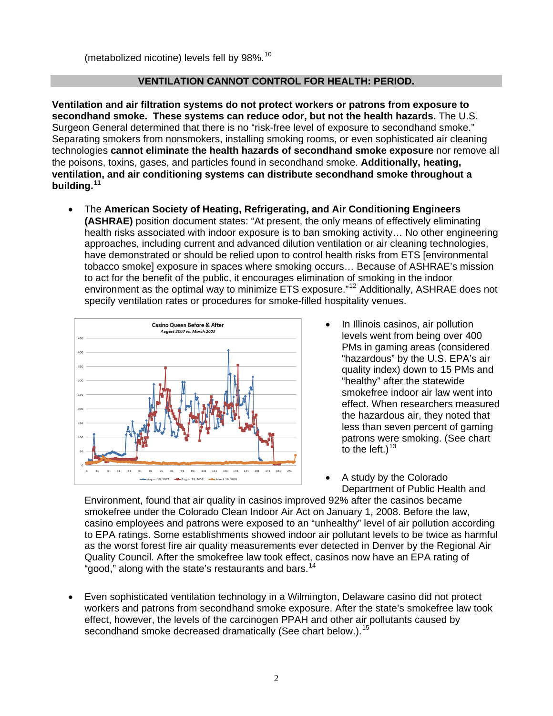(metabolized nicotine) levels fell by  $98\%$ .<sup>10</sup>

## **VENTILATION CANNOT CONTROL FOR HEALTH: PERIOD.**

**Ventilation and air filtration systems do not protect workers or patrons from exposure to secondhand smoke. These systems can reduce odor, but not the health hazards.** The U.S. Surgeon General determined that there is no "risk-free level of exposure to secondhand smoke." Separating smokers from nonsmokers, installing smoking rooms, or even sophisticated air cleaning technologies **cannot eliminate the health hazards of secondhand smoke exposure** nor remove all the poisons, toxins, gases, and particles found in secondhand smoke. **Additionally, heating, ventilation, and air conditioning systems can distribute secondhand smoke throughout a building.[11](#page-5-4)** 

 The **American Society of Heating, Refrigerating, and Air Conditioning Engineers (ASHRAE)** position document states: "At present, the only means of effectively eliminating health risks associated with indoor exposure is to ban smoking activity… No other engineering approaches, including current and advanced dilution ventilation or air cleaning technologies, have demonstrated or should be relied upon to control health risks from ETS [environmental tobacco smoke] exposure in spaces where smoking occurs… Because of ASHRAE's mission to act for the benefit of the public, it encourages elimination of smoking in the indoor environment as the optimal way to minimize ETS exposure."<sup>[12](#page-5-5)</sup> Additionally, ASHRAE does not specify ventilation rates or procedures for smoke-filled hospitality venues.



- In Illinois casinos, air pollution levels went from being over 400 PMs in gaming areas (cons idered "hazardous" by the U.S. EPA's air quality index) down to 15 PMs and "healthy" after the statewide smokefree indoor air law went into effect. When researchers measured the hazardous air, they noted that less than seven percent of gaming patrons were smoking. (See chart to the left.)<sup>[13](#page-5-6)</sup>
- A study by the Colorado Department of Public Health and

Quality Council. After the smokefree law took effect, casinos now have an EPA rating of "good," along with the state's restaurants and bars.<sup>14</sup> Environment, found that air quality in casinos improved 92% after the casinos became smokefree under the Colorado Clean Indoor Air Act on January 1, 2008. Before the law, casino employees and patrons were exposed to an "unhealthy" level of air pollution according to EPA ratings. Some establishments showed indoor air pollutant levels to be twice as harmful as the worst forest fire air quality measurements ever detected in Denver by the Regional Air

workers and patrons from secondhand smoke exposure. After the state's smokefree law took effect, however, the levels of the carcinogen PPAH and other air pollutants caused by secondhand smoke decreased dramatically (See chart below.).<sup>15</sup> Even sophisticated ventilation technology in a Wilmington, Delaware casino did not protect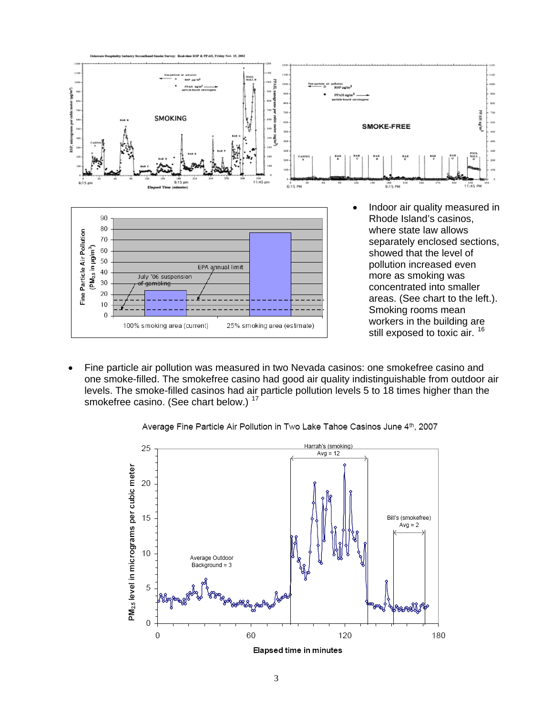

one smoke-filled. The smokefree casino had good air quality indistinguishable from outdoor air levels. The smoke-filled casinos had air particle pollution levels 5 to 18 times higher than the smokefree casino. (See chart below.) <sup>17</sup> Fine particle air pollution was measured in two Nevada casinos: one smokefree casino and



Average Fine Particle Air Pollution in Two Lake Tahoe Casinos June 4th, 2007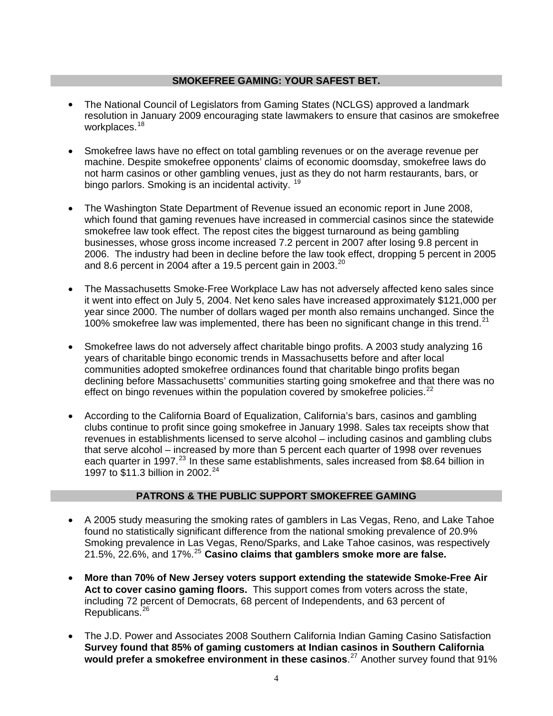#### **SMOKEFREE GAMING: YOUR SAFEST BET.**

- resolution in January 2009 encouraging state lawmakers to ensure that casinos are smokefree workplaces.<sup>18</sup> The National Council of Legislators from Gaming States (NCLGS) approved a landmark
- not harm casinos or other gambling venues, just as they do not harm restaurants, bars, or bingo parlors. Smoking is an incidental activity. <sup>19</sup> Smokefree laws have [no effect on total gambling revenues or on the average revenue per](http://www.tobaccocontrol.com/cgi/content/abstract/14/1/10?etoc)  [machine](http://www.tobaccocontrol.com/cgi/content/abstract/14/1/10?etoc). Despite smokefree opponents' claims of economic doomsday, smokefree laws do
- which found that gaming revenues have increased in commercial casinos since the statewide 2006. The industry had been in decline before the law took effect, dropping 5 percent in 2005 and 8.6 percent in 2004 after a 19.5 percent gain in 2003.<sup>20</sup> The Washington State Department of Revenue issued an economic report in June 2008, smokefree law took effect. The repost cites the biggest turnaround as being gambling businesses, whose gross income increased 7.2 percent in 2007 after losing 9.8 percent in
- 100% smokefree law was implemented, there has been no significant change in this trend.<sup>21</sup> • The Massachusetts Smoke-Free Workplace Law has not adversely affected keno sales since it went into effect on July 5, 2004. Net keno sales have increased approximately \$121,000 per year since 2000. The number of dollars waged per month also remains unchanged. Since the
- Smokefree laws do not adversely affect charitable bingo profits. A 2003 study analyzing 16 declining before Massachusetts' communities starting going smokefree and that there was no effect on bingo revenues within the population covered by smokefree policies.<sup>22</sup> years of charitable bingo economic trends in Massachusetts before and after local communities adopted smokefree ordinances found that charitable bingo profits began
- revenues in establishments licensed to serve alcohol including casinos and gambling clubs each quarter in 1997.<sup>[23](#page-5-7)</sup> In these same establishments, sales increased from \$8.64 billion in 1997 to \$11.3 billion in 2002.<sup>24</sup> According to the California Board of Equalization, California's bars, casinos and gambling clubs continue to profit since going smokefree in January 1998. Sales tax receipts show that that serve alcohol – increased by more than 5 percent each quarter of 1998 over revenues

### **PATRONS & THE PUBLIC SUPPORT SMOKEFREE GAMING**

- A 2005 study measuring the smoking rates of gamblers in Las Vegas, Reno, and Lake Tahoe Smoking prevalence in Las Vegas, Reno/Sparks, and Lake Tahoe casinos, was respectively 21.5%, 22.6%, and 17%.<sup>25</sup> Casino claims that gamblers smoke more are false. found no statistically significant difference from the national smoking prevalence of 20.9%
- **More than 70% of New Jersey voters support extending the statewide Smoke-Free Air** Act to cover casino gaming floors. This support comes from voters across the state, including 72 percent of Democrats, 68 percent of Independents, and 63 percent of Republicans. 26
- would prefer a smokefree environment in these casinos.<sup>27</sup> Another survey found that 91% The J.D. Power and Associates 2008 Southern California Indian Gaming Casino Satisfaction **Survey found that 85% of gaming customers at Indian casinos in Southern California**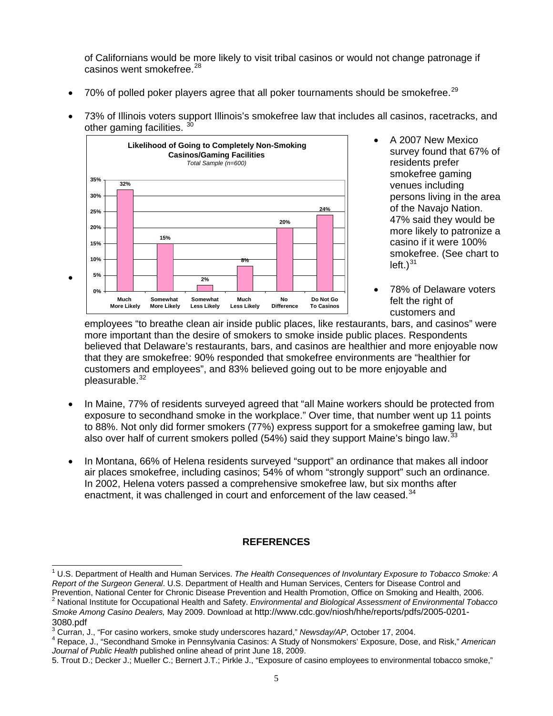of Californians would be more likely to visit tribal casinos or would not change patronage if casinos went smokefree.<sup>28</sup>

- 70% of polled poker players agree that all poker tournaments should be smokefree.<sup>[29](#page-5-8)</sup>
- 73% of Illinois voters support Illinois's smokefree law that includes all casinos, racetracks, and other gaming facilities.  $30$



- persons living in the area smokefree. (See chart to left.) $31$  A 2007 New Mexico survey found that 67% of residents prefer smokefree gaming venues including of the Navajo Nation. 47% said they would be more likely to patronize a casino if it were 100%
- 78% of Delaware voters felt the right of customers and

employees "to breathe clean air inside public places, like restaurants, bars, and casinos" were believed that Delaware's restaurants, bars, and casinos are healthier and more enjoyable now customers and employees", and 83% believed going out to be more enjoyable and pleasurable.<sup>32</sup> more important than the desire of smokers to smoke inside public places. Respondents that they are smokefree: 90% responded that smokefree environments are "healthier for

- to 88%. Not only did former smokers (77%) express support for a smokefree gaming law, but also over half of current smokers polled (54%) said they support Maine's bingo law.<sup>33</sup> • In Maine, 77% of residents surveyed agreed that "all Maine workers should be protected from exposure to secondhand smoke in the workplace." Over time, that number went up 11 points
- air places smokefree, including casinos; 54% of whom "strongly support" such an ordinance. In 2002, Helena voters passed a comprehensive smokefree law, but six months after enactment, it was challenged in court and enforcement of the law ceased.<sup>34</sup> In Montana, 66% of Helena residents surveyed "support" an ordinance that makes all indoor

# **REFERENCES**

<span id="page-4-0"></span>l <sup>1</sup> U.S. Department of Health and Human Services. The Health Consequences of Involuntary Exposure to Tobacco Smoke: A *Report of the Surgeon General*. U.S. Department of Health and Human Services, Centers for Disease Control and Prevention, National Center for Chronic Disease Prevention and Health Promotion, Office on Smoking and Health, 2006.<br><sup>2</sup> National Institute for Occupational Health and Safety. *Environmental and Biological Assessment of En* 

<span id="page-4-1"></span>*ng Casino Dealers,* May 2009. Download at http://www.cdc.gov/niosh/hhe/reports/pdfs/2005-0201- *Smoke Amo* 3080.pdf

<span id="page-4-2"></span><sup>&</sup>lt;sup>3</sup> Curran, J., "For casino workers, smoke study underscores hazard," *Newsday/AP*, October 17, 2004.<br><sup>4</sup> Benace, J. "Secondband Smoke in Benneylvania Cosines: A Study of Nepemekare' Expensive, Deep

<span id="page-4-3"></span>Repace, J., "Secondhand Smoke in Pennsylvania Casinos: A Study of Nonsmokers' Exposure, Dose, and Risk," American *Journal of Public Health* published online ahead of print June 18, 2009.

<span id="page-4-4"></span><sup>5.</sup> Trout D.; Decker J.; Mueller C.; Bernert J.T.; Pirkle J., "Exposure of casino employees to environmental tobacco smoke,"